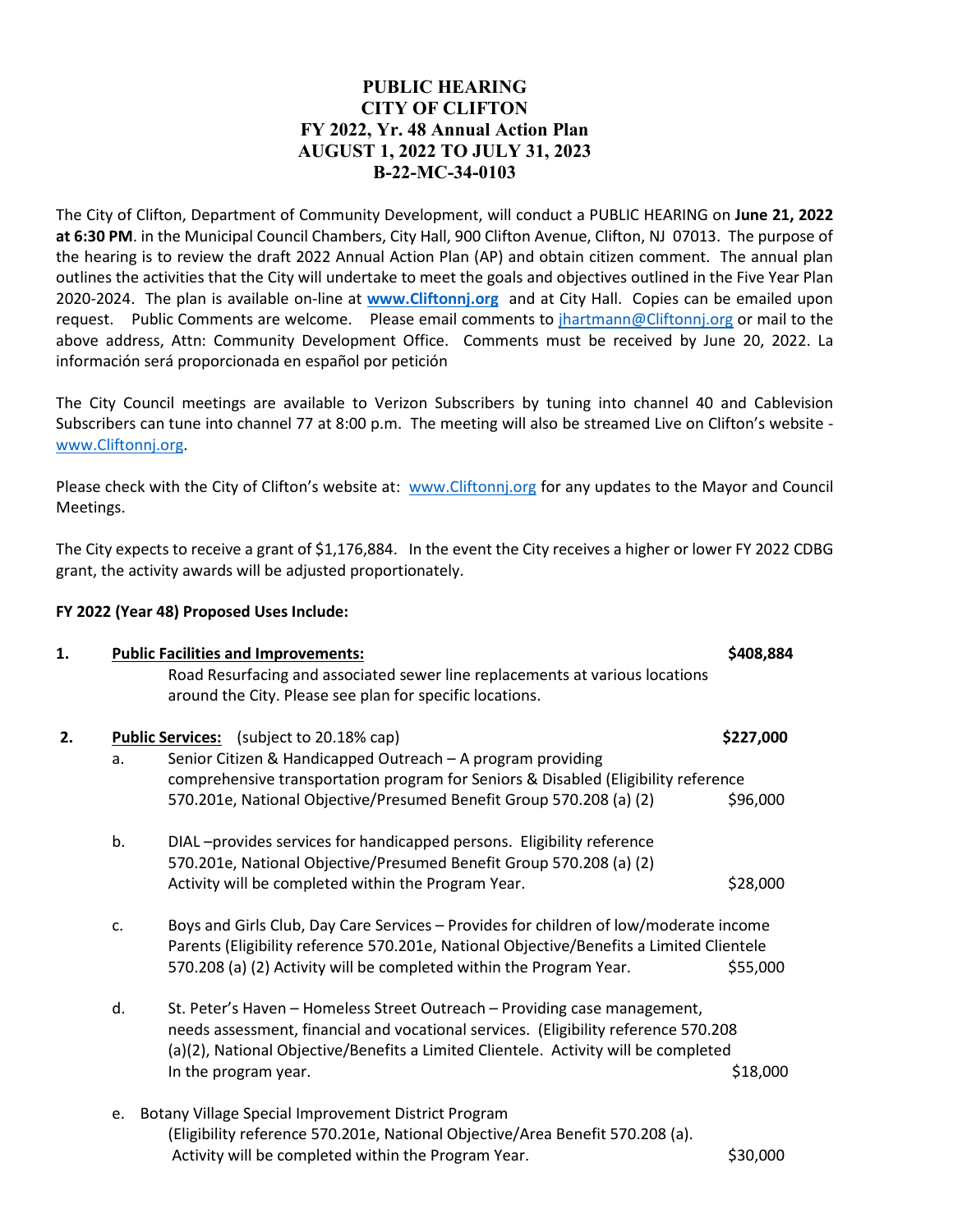## **PUBLIC HEARING CITY OF CLIFTON FY 2022, Yr. 48 Annual Action Plan AUGUST 1, 2022 TO JULY 31, 2023 B-22-MC-34-0103**

The City of Clifton, Department of Community Development, will conduct a PUBLIC HEARING on **June 21, 2022 at 6:30 PM**. in the Municipal Council Chambers, City Hall, 900 Clifton Avenue, Clifton, NJ 07013. The purpose of the hearing is to review the draft 2022 Annual Action Plan (AP) and obtain citizen comment. The annual plan outlines the activities that the City will undertake to meet the goals and objectives outlined in the Five Year Plan 2020-2024. The plan is available on-line at **[www.Cliftonnj.org](http://www.cliftonnj.org/)** and at City Hall. Copies can be emailed upon request. Public Comments are welcome. Please email comments to *jhartmann@Cliftonnj.org* or mail to the above address, Attn: Community Development Office. Comments must be received by June 20, 2022. La información será proporcionada en español por petición

The City Council meetings are available to Verizon Subscribers by tuning into channel 40 and Cablevision Subscribers can tune into channel 77 at 8:00 p.m. The meeting will also be streamed Live on Clifton's website [www.Cliftonnj.org.](http://www.cliftonnj.org/)

Please check with the City of Clifton's website at: [www.Cliftonnj.org](http://www.cliftonnj.org/) for any updates to the Mayor and Council Meetings.

The City expects to receive a grant of \$1,176,884. In the event the City receives a higher or lower FY 2022 CDBG grant, the activity awards will be adjusted proportionately.

## **FY 2022 (Year 48) Proposed Uses Include:**

| 1. | <b>Public Facilities and Improvements:</b><br>Road Resurfacing and associated sewer line replacements at various locations |                                                                                                                                                                                                                                                                                 | \$408,884                                       |
|----|----------------------------------------------------------------------------------------------------------------------------|---------------------------------------------------------------------------------------------------------------------------------------------------------------------------------------------------------------------------------------------------------------------------------|-------------------------------------------------|
|    |                                                                                                                            |                                                                                                                                                                                                                                                                                 |                                                 |
|    | 2.                                                                                                                         |                                                                                                                                                                                                                                                                                 | <b>Public Services:</b> (subject to 20.18% cap) |
| a. |                                                                                                                            | Senior Citizen & Handicapped Outreach - A program providing                                                                                                                                                                                                                     |                                                 |
|    |                                                                                                                            | comprehensive transportation program for Seniors & Disabled (Eligibility reference                                                                                                                                                                                              |                                                 |
|    |                                                                                                                            | 570.201e, National Objective/Presumed Benefit Group 570.208 (a) (2)                                                                                                                                                                                                             | \$96,000                                        |
|    | b.                                                                                                                         | DIAL-provides services for handicapped persons. Eligibility reference<br>570.201e, National Objective/Presumed Benefit Group 570.208 (a) (2)                                                                                                                                    |                                                 |
|    |                                                                                                                            | Activity will be completed within the Program Year.                                                                                                                                                                                                                             | \$28,000                                        |
|    | c.                                                                                                                         | Boys and Girls Club, Day Care Services - Provides for children of low/moderate income<br>Parents (Eligibility reference 570.201e, National Objective/Benefits a Limited Clientele<br>570.208 (a) (2) Activity will be completed within the Program Year.                        | \$55,000                                        |
|    | d.                                                                                                                         | St. Peter's Haven - Homeless Street Outreach - Providing case management,<br>needs assessment, financial and vocational services. (Eligibility reference 570.208<br>(a)(2), National Objective/Benefits a Limited Clientele. Activity will be completed<br>In the program year. | \$18,000                                        |
|    | e.                                                                                                                         | Botany Village Special Improvement District Program<br>(Eligibility reference 570.201e, National Objective/Area Benefit 570.208 (a).<br>Activity will be completed within the Program Year.                                                                                     | \$30,000                                        |